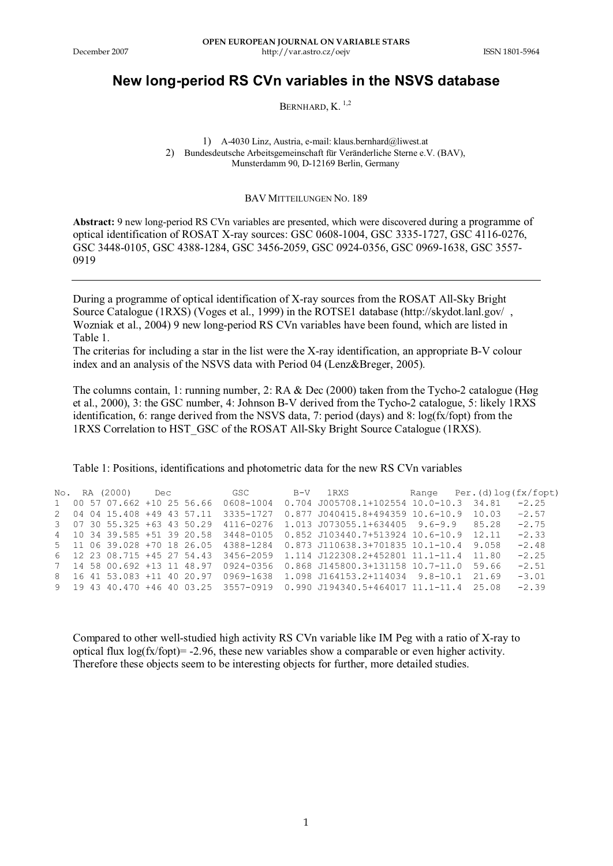## **New long-period RS CVn variables in the NSVS database**

BERNHARD, K.<sup>1,2</sup>

1) A-4030 Linz, Austria, e-mail: klaus.bernhard@liwest.at 2) Bundesdeutsche Arbeitsgemeinschaft für Veränderliche Sterne e.V. (BAV), Munsterdamm 90, D-12169 Berlin, Germany

BAV MITTEILUNGEN NO. 189

**Abstract:** 9 new long-period RS CVn variables are presented, which were discovered during a programme of optical identification of ROSAT X-ray sources: GSC 0608-1004, GSC 3335-1727, GSC 4116-0276, GSC 3448-0105, GSC 4388-1284, GSC 3456-2059, GSC 0924-0356, GSC 0969-1638, GSC 3557- 0919

During a programme of optical identification of X-ray sources from the ROSAT All-Sky Bright Source Catalogue (1RXS) (Voges et al., 1999) in the ROTSE1 database (http://skydot.lanl.gov/ , Wozniak et al., 2004) 9 new long-period RS CVn variables have been found, which are listed in Table 1.

The criterias for including a star in the list were the X-ray identification, an appropriate B-V colour index and an analysis of the NSVS data with Period 04 (Lenz&Breger, 2005).

The columns contain, 1: running number, 2: RA & Dec (2000) taken from the Tycho-2 catalogue (Høg et al., 2000), 3: the GSC number, 4: Johnson B-V derived from the Tycho-2 catalogue, 5: likely 1RXS identification, 6: range derived from the NSVS data, 7: period (days) and 8: log(fx/fopt) from the 1RXS Correlation to HST\_GSC of the ROSAT All-Sky Bright Source Catalogue (1RXS).

Table 1: Positions, identifications and photometric data for the new RS CVn variables

|  | No. RA (2000)               |  |                                       | Dec GSC B-V 1RXS Range Per.(d)log(fx/fopt)                                   |       |         |
|--|-----------------------------|--|---------------------------------------|------------------------------------------------------------------------------|-------|---------|
|  |                             |  | 1 00 57 07.662 +10 25 56.66 0608-1004 | 0.704 J005708.1+102554 10.0-10.3 34.81                                       |       | $-2.25$ |
|  | 2 04 04 15.408 +49 43 57.11 |  | 3335-1727                             | 0.877 J040415.8+494359 10.6-10.9                                             | 10 03 | $-2.57$ |
|  | 3 07 30 55.325 +63 43 50.29 |  | 4116-0276                             | 1.013 J073055.1+634405 9.6-9.9 85.28                                         |       | $-2.75$ |
|  |                             |  |                                       | 4 10 34 39 585 +51 39 20 58 3448-0105 0.852 J103440.7+513924 10.6-10.9 12.11 |       | $-2.33$ |
|  |                             |  |                                       | 5 11 06 39 028 +70 18 26 05 4388-1284 0.873 J110638 3+701835 10 1-10 4 9.058 |       | $-2.48$ |
|  |                             |  |                                       | 6 12 23 08.715 +45 27 54.43 3456-2059 1.114 J122308.2+452801 11.1-11.4 11.80 |       | $-2.25$ |
|  | 7 14 58 00.692 +13 11 48.97 |  |                                       | 0924-0356 0.868 J145800.3+131158 10.7-11.0 59.66                             |       | $-2$ 51 |
|  |                             |  |                                       |                                                                              |       | $-3.01$ |
|  |                             |  |                                       | 9 19 43 40 470 +46 40 03 25 3557-0919 0.990 J194340 5+464017 11 1-11 4 25 08 |       | $-2.39$ |

Compared to other well-studied high activity RS CVn variable like IM Peg with a ratio of X-ray to optical flux  $log(fx/fopt) = -2.96$ , these new variables show a comparable or even higher activity. Therefore these objects seem to be interesting objects for further, more detailed studies.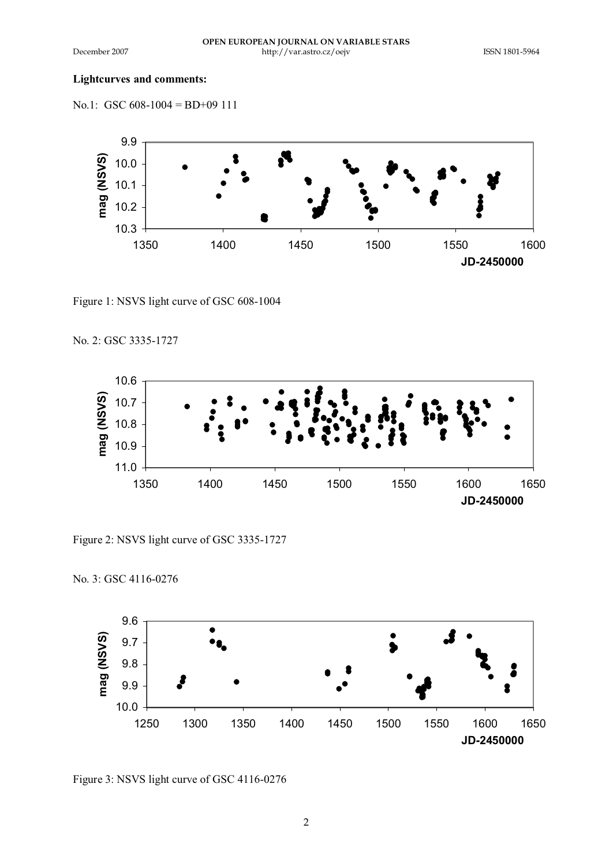## **Lightcurves and comments:**

No.1: GSC 608-1004 = BD+09 111



Figure 1: NSVS light curve of GSC 608-1004

No. 2: GSC 3335-1727

No. 3: GSC 4116-0276



Figure 2: NSVS light curve of GSC 3335-1727



Figure 3: NSVS light curve of GSC 4116-0276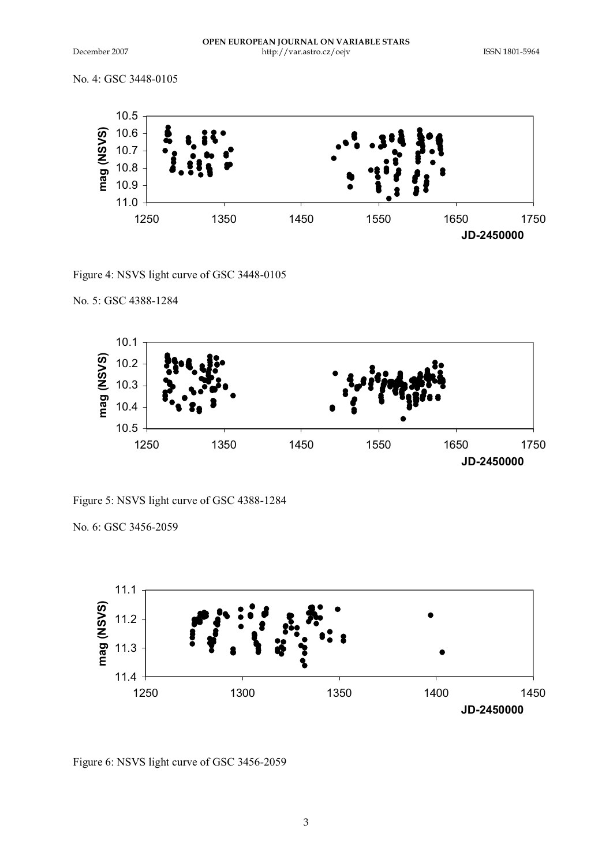No. 4: GSC 3448-0105



Figure 4: NSVS light curve of GSC 3448-0105

## No. 5: GSC 4388-1284



Figure 5: NSVS light curve of GSC 4388-1284

No. 6: GSC 3456-2059



Figure 6: NSVS light curve of GSC 3456-2059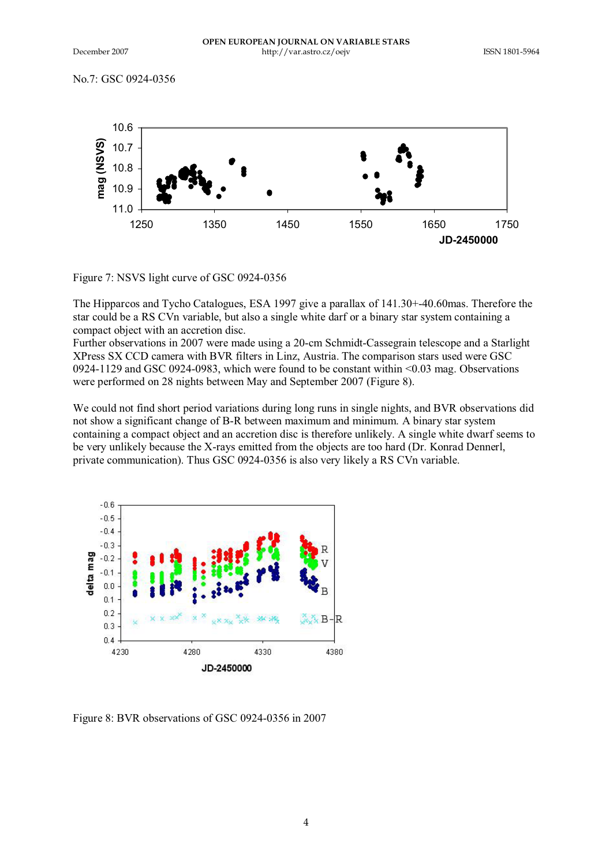No.7: GSC 0924-0356



Figure 7: NSVS light curve of GSC 0924-0356

The Hipparcos and Tycho Catalogues, ESA 1997 give a parallax of 141.30+-40.60mas. Therefore the star could be a RS CVn variable, but also a single white darf or a binary star system containing a compact object with an accretion disc.

Further observations in 2007 were made using a 20-cm Schmidt-Cassegrain telescope and a Starlight XPress SX CCD camera with BVR filters in Linz, Austria. The comparison stars used were GSC 0924-1129 and GSC 0924-0983, which were found to be constant within <0.03 mag. Observations were performed on 28 nights between May and September 2007 (Figure 8).

We could not find short period variations during long runs in single nights, and BVR observations did not show a significant change of B-R between maximum and minimum. A binary star system containing a compact object and an accretion disc is therefore unlikely. A single white dwarf seems to be very unlikely because the X-rays emitted from the objects are too hard (Dr. Konrad Dennerl, private communication). Thus GSC 0924-0356 is also very likely a RS CVn variable.



Figure 8: BVR observations of GSC 0924-0356 in 2007